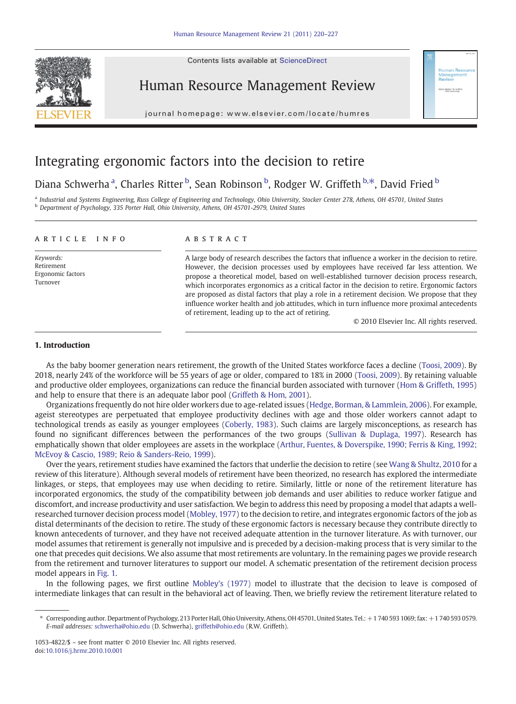Contents lists available at ScienceDirect





journal homepage: www.elsevier.com/locate/humres j o u r n a g e  $\mathbf{r}$  . We are evident to the following the set of  $\mathbf{r}$ 

## Integrating ergonomic factors into the decision to retire

## Diana Schwerha <sup>a</sup>, Charles Ritter <sup>b</sup>, Sean Robinson <sup>b</sup>, Rodger W. Griffeth <sup>b,\*</sup>, David Fried <sup>b</sup>

<sup>a</sup> Industrial and Systems Engineering, Russ College of Engineering and Technology, Ohio University, Stocker Center 278, Athens, OH 45701, United States <sup>b</sup> Department of Psychology, 335 Porter Hall, Ohio University, Athens, OH 45701-2979, United States

### article info abstract

Keywords: Retirement Ergonomic factors Turnover

A large body of research describes the factors that influence a worker in the decision to retire. However, the decision processes used by employees have received far less attention. We propose a theoretical model, based on well-established turnover decision process research, which incorporates ergonomics as a critical factor in the decision to retire. Ergonomic factors are proposed as distal factors that play a role in a retirement decision. We propose that they influence worker health and job attitudes, which in turn influence more proximal antecedents of retirement, leading up to the act of retiring.

© 2010 Elsevier Inc. All rights reserved.

or: Bodger W. Grift

### 1. Introduction

As the baby boomer generation nears retirement, the growth of the United States workforce faces a decline [\(Toosi, 2009\)](#page--1-0). By 2018, nearly 24% of the workforce will be 55 years of age or older, compared to 18% in 2000 [\(Toosi, 2009\)](#page--1-0). By retaining valuable and productive older employees, organizations can reduce the financial burden associated with turnover [\(Hom & Griffeth, 1995\)](#page--1-0) and help to ensure that there is an adequate labor pool ([Griffeth & Hom, 2001\)](#page--1-0).

Organizations frequently do not hire older workers due to age-related issues [\(Hedge, Borman, & Lammlein, 2006](#page--1-0)). For example, ageist stereotypes are perpetuated that employee productivity declines with age and those older workers cannot adapt to technological trends as easily as younger employees [\(Coberly, 1983](#page--1-0)). Such claims are largely misconceptions, as research has found no significant differences between the performances of the two groups [\(Sullivan & Duplaga, 1997](#page--1-0)). Research has emphatically shown that older employees are assets in the workplace ([Arthur, Fuentes, & Doverspike, 1990; Ferris & King, 1992;](#page--1-0) [McEvoy & Cascio, 1989; Reio & Sanders-Reio, 1999](#page--1-0)).

Over the years, retirement studies have examined the factors that underlie the decision to retire (see [Wang & Shultz, 2010](#page--1-0) for a review of this literature). Although several models of retirement have been theorized, no research has explored the intermediate linkages, or steps, that employees may use when deciding to retire. Similarly, little or none of the retirement literature has incorporated ergonomics, the study of the compatibility between job demands and user abilities to reduce worker fatigue and discomfort, and increase productivity and user satisfaction. We begin to address this need by proposing a model that adapts a wellresearched turnover decision process model [\(Mobley, 1977](#page--1-0)) to the decision to retire, and integrates ergonomic factors of the job as distal determinants of the decision to retire. The study of these ergonomic factors is necessary because they contribute directly to known antecedents of turnover, and they have not received adequate attention in the turnover literature. As with turnover, our model assumes that retirement is generally not impulsive and is preceded by a decision-making process that is very similar to the one that precedes quit decisions. We also assume that most retirements are voluntary. In the remaining pages we provide research from the retirement and turnover literatures to support our model. A schematic presentation of the retirement decision process model appears in [Fig. 1.](#page-1-0)

In the following pages, we first outline [Mobley's \(1977\)](#page--1-0) model to illustrate that the decision to leave is composed of intermediate linkages that can result in the behavioral act of leaving. Then, we briefly review the retirement literature related to

1053-4822/\$ – see front matter © 2010 Elsevier Inc. All rights reserved. doi[:10.1016/j.hrmr.2010.10.001](http://dx.doi.org/10.1016/j.hrmr.2010.10.001)

<sup>⁎</sup> Corresponding author. Department of Psychology, 213 Porter Hall, Ohio University, Athens, OH 45701, United States. Tel.: +1 740 593 1069; fax: +1 740 593 0579. E-mail addresses: [schwerha@ohio.edu](mailto:schwerha@ohio.edu) (D. Schwerha), [griffeth@ohio.edu](mailto:griffeth@ohio.edu) (R.W. Griffeth).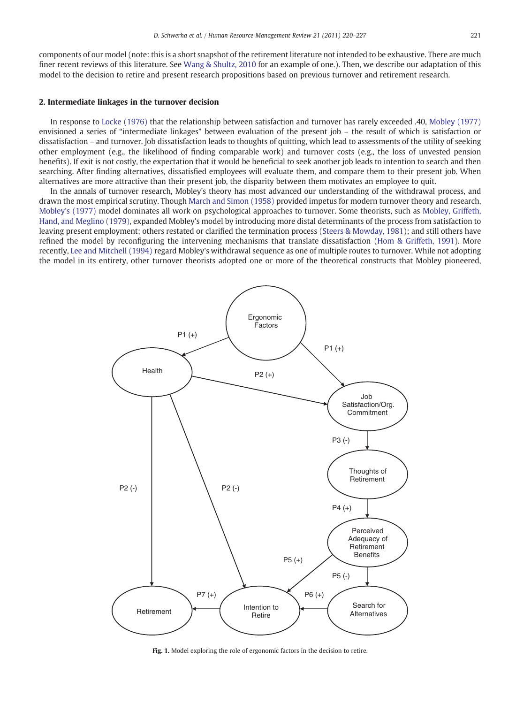<span id="page-1-0"></span>components of our model (note: this is a short snapshot of the retirement literature not intended to be exhaustive. There are much finer recent reviews of this literature. See [Wang & Shultz, 2010](#page--1-0) for an example of one.). Then, we describe our adaptation of this model to the decision to retire and present research propositions based on previous turnover and retirement research.

### 2. Intermediate linkages in the turnover decision

In response to [Locke \(1976\)](#page--1-0) that the relationship between satisfaction and turnover has rarely exceeded .40, [Mobley \(1977\)](#page--1-0) envisioned a series of "intermediate linkages" between evaluation of the present job – the result of which is satisfaction or dissatisfaction – and turnover. Job dissatisfaction leads to thoughts of quitting, which lead to assessments of the utility of seeking other employment (e.g., the likelihood of finding comparable work) and turnover costs (e.g., the loss of unvested pension benefits). If exit is not costly, the expectation that it would be beneficial to seek another job leads to intention to search and then searching. After finding alternatives, dissatisfied employees will evaluate them, and compare them to their present job. When alternatives are more attractive than their present job, the disparity between them motivates an employee to quit.

In the annals of turnover research, Mobley's theory has most advanced our understanding of the withdrawal process, and drawn the most empirical scrutiny. Though [March and Simon \(1958\)](#page--1-0) provided impetus for modern turnover theory and research, [Mobley's \(1977\)](#page--1-0) model dominates all work on psychological approaches to turnover. Some theorists, such as [Mobley, Griffeth,](#page--1-0) [Hand, and Meglino \(1979\),](#page--1-0) expanded Mobley's model by introducing more distal determinants of the process from satisfaction to leaving present employment; others restated or clarified the termination process [\(Steers & Mowday, 1981\)](#page--1-0); and still others have refined the model by reconfiguring the intervening mechanisms that translate dissatisfaction [\(Hom & Griffeth, 1991\)](#page--1-0). More recently, [Lee and Mitchell \(1994\)](#page--1-0) regard Mobley's withdrawal sequence as one of multiple routes to turnover. While not adopting the model in its entirety, other turnover theorists adopted one or more of the theoretical constructs that Mobley pioneered,



Fig. 1. Model exploring the role of ergonomic factors in the decision to retire.